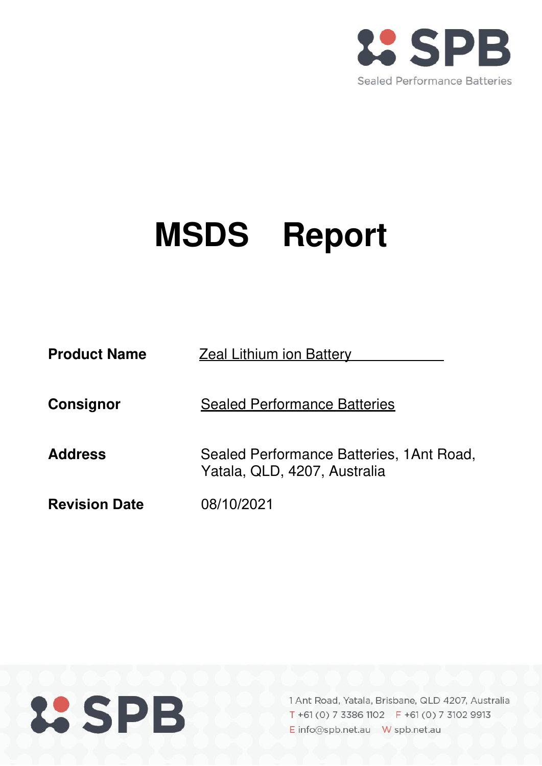

# **MSDS Report**

| <b>Product Name</b>  | <b>Zeal Lithium ion Battery</b>                                          |  |  |
|----------------------|--------------------------------------------------------------------------|--|--|
| Consignor            | <b>Sealed Performance Batteries</b>                                      |  |  |
| <b>Address</b>       | Sealed Performance Batteries, 1Ant Road,<br>Yatala, QLD, 4207, Australia |  |  |
| <b>Revision Date</b> | 08/10/2021                                                               |  |  |

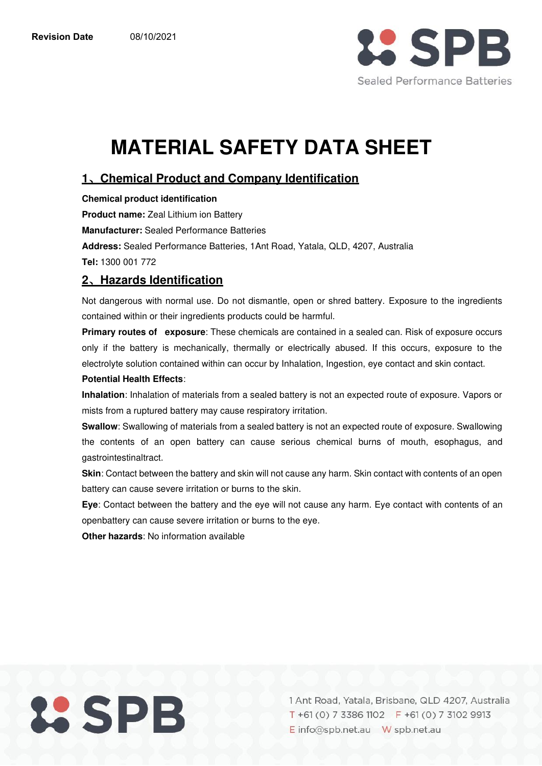

# **MATERIAL SAFETY DATA SHEET**

# **1**、**Chemical Product and Company Identification**

**Chemical product identification Product name:** Zeal Lithium ion Battery **Manufacturer:** Sealed Performance Batteries **Address:** Sealed Performance Batteries, 1Ant Road, Yatala, QLD, 4207, Australia **Tel:** 1300 001 772

# **2**、**Hazards Identification**

Not dangerous with normal use. Do not dismantle, open or shred battery. Exposure to the ingredients contained within or their ingredients products could be harmful.

**Primary routes of exposure**: These chemicals are contained in a sealed can. Risk of exposure occurs only if the battery is mechanically, thermally or electrically abused. If this occurs, exposure to the electrolyte solution contained within can occur by Inhalation, Ingestion, eye contact and skin contact.

#### **Potential Health Effects**:

**Inhalation**: Inhalation of materials from a sealed battery is not an expected route of exposure. Vapors or mists from a ruptured battery may cause respiratory irritation.

**Swallow**: Swallowing of materials from a sealed battery is not an expected route of exposure. Swallowing the contents of an open battery can cause serious chemical burns of mouth, esophagus, and gastrointestinaltract.

**Skin**: Contact between the battery and skin will not cause any harm. Skin contact with contents of an open battery can cause severe irritation or burns to the skin.

**Eye**: Contact between the battery and the eye will not cause any harm. Eye contact with contents of an openbattery can cause severe irritation or burns to the eye.

**Other hazards**: No information available

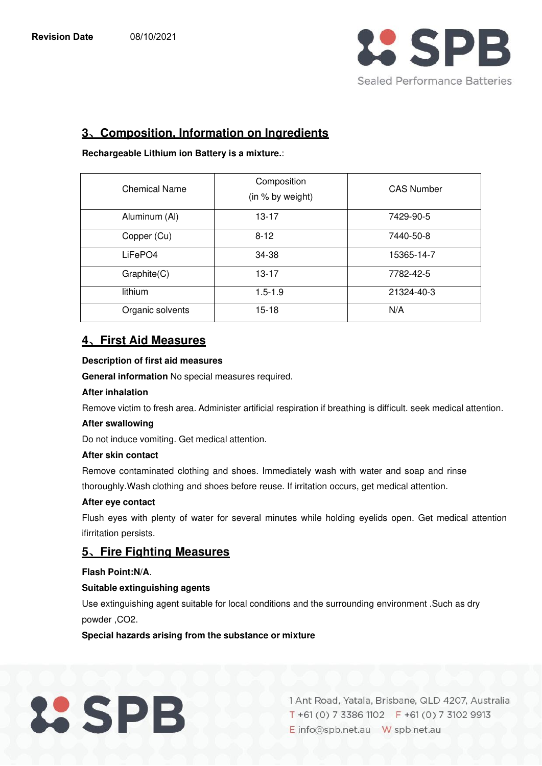

# **3**、**Composition, Information on Ingredients**

**Rechargeable Lithium ion Battery is a mixture.**:

| <b>Chemical Name</b> | Composition<br>(in % by weight) | <b>CAS Number</b> |  |  |
|----------------------|---------------------------------|-------------------|--|--|
| Aluminum (Al)        | $13 - 17$                       | 7429-90-5         |  |  |
| Copper (Cu)          | $8 - 12$                        | 7440-50-8         |  |  |
| LiFePO4              | 34-38                           | 15365-14-7        |  |  |
| Graphite(C)          | $13 - 17$                       | 7782-42-5         |  |  |
| lithium              | $1.5 - 1.9$                     | 21324-40-3        |  |  |
| Organic solvents     | $15-18$                         | N/A               |  |  |

# **4**、**First Aid Measures**

#### **Description of first aid measures**

**General information** No special measures required.

#### **After inhalation**

Remove victim to fresh area. Administer artificial respiration if breathing is difficult. seek medical attention.

#### **After swallowing**

Do not induce vomiting. Get medical attention.

#### **After skin contact**

Remove contaminated clothing and shoes. Immediately wash with water and soap and rinse thoroughly. Wash clothing and shoes before reuse. If irritation occurs, get medical attention.

#### **After eye contact**

Flush eyes with plenty of water for several minutes while holding eyelids open. Get medical attention ifirritation persists.

# **5**、**Fire Fighting Measures**

#### **Flash Point:N/A**.

#### **Suitable extinguishing agents**

Use extinguishing agent suitable for local conditions and the surrounding environment .Such as dry powder, CO<sub>2</sub>.

**Special hazards arising from the substance or mixture** 

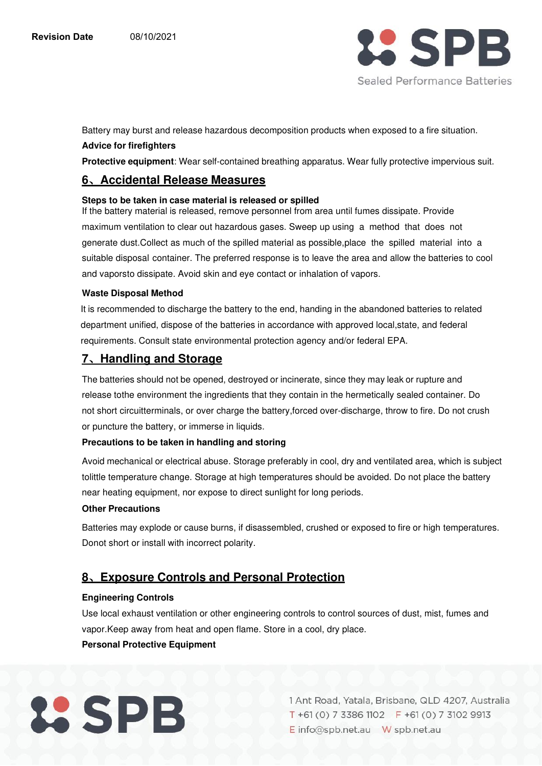

Battery may burst and release hazardous decomposition products when exposed to a fire situation.

#### **Advice for firefighters**

**Protective equipment**: Wear self-contained breathing apparatus. Wear fully protective impervious suit.

# **6**、**Accidental Release Measures**

#### **Steps to be taken in case material is released or spilled**

If the battery material is released, remove personnel from area until fumes dissipate. Provide maximum ventilation to clear out hazardous gases. Sweep up using a method that does not generate dust.Collect as much of the spilled material as possible,place the spilled material into a suitable disposal container. The preferred response is to leave the area and allow the batteries to cool and vaporsto dissipate. Avoid skin and eye contact or inhalation of vapors.

#### **Waste Disposal Method**

It is recommended to discharge the battery to the end, handing in the abandoned batteries to related department unified, dispose of the batteries in accordance with approved local,state, and federal requirements. Consult state environmental protection agency and/or federal EPA.

# **7**、**Handling and Storage**

The batteries should not be opened, destroyed or incinerate, since they may leak or rupture and release to the environment the ingredients that they contain in the hermetically sealed container. Do not short circuit terminals, or over charge the battery, forced over-discharge, throw to fire. Do not crush or puncture the battery, or immerse in liquids.

#### **Precautions to be taken in handling and storing**

Avoid mechanical or electrical abuse. Storage preferably in cool, dry and ventilated area, which is subject to little temperature change. Storage at high temperatures should be avoided. Do not place the battery near heating equipment, nor expose to direct sunlight for long periods.

#### **Other Precautions**

Batteries may explode or cause burns, if disassembled, crushed or exposed to fire or high temperatures. Donot short or install with incorrect polarity.

# **8**、**Exposure Controls and Personal Protection**

#### **Engineering Controls**

Use local exhaust ventilation or other engineering controls to control sources of dust, mist, fumes and vapor. Keep away from heat and open flame. Store in a cool, dry place.

#### **Personal Protective Equipment**

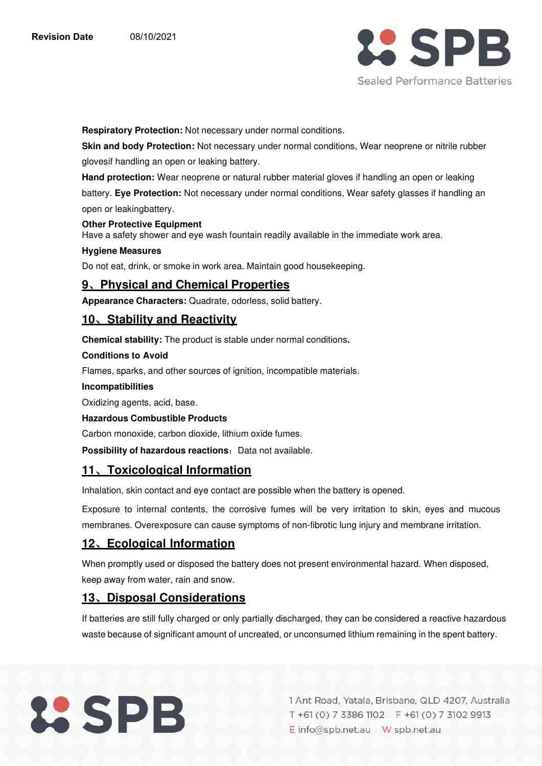

**Respiratory Protection:** Not necessary under normal conditions.

**Skin and body Protection:** Not necessary under normal conditions, Wear neoprene or nitrile rubber gloves if handling an open or leaking battery.

**Hand protection:** Wear neoprene or natural rubber material gloves if handling an open or leaking

battery. **Eye Protection:** Not necessary under normal conditions, Wear safety glasses if handling an open or leaking battery.

#### **Other Protective Equipment**

Have a safety shower and eye wash fountain readily available in the immediate work area.

#### **Hygiene Measures**

Do not eat, drink, or smoke in work area. Maintain good housekeeping.

#### **9**、**Physical and Chemical Properties**

**Appearance Characters:** Quadrate, odorless, solid battery.

### **10**、**Stability and Reactivity**

**Chemical stability:** The product is stable under normal conditions**.** 

#### **Conditions to Avoid**

Flames, sparks, and other sources of ignition, incompatible materials.

#### **Incompatibilities**

Oxidizing agents, acid, base.

#### **Hazardous Combustible Products**

Carbon monoxide, carbon dioxide, lithium oxide fumes.

**Possibility of hazardous reactions:** Data not available.

# **11**、**Toxicological Information**

Inhalation, skin contact and eye contact are possible when the battery is opened.

Exposure to internal contents, the corrosive fumes will be very irritation to skin, eyes and mucous membranes. Overexposure can cause symptoms of non-fibrotic lung injury and membrane irritation.

# **12**、**Ecological Information**

When promptly used or disposed the battery does not present environmental hazard. When disposed, keep away from water, rain and snow.

# **13**、**Disposal Considerations**

If batteries are still fully charged or only partially discharged, they can be considered a reactive hazardous waste because of significant amount of uncreated, or unconsumed lithium remaining in the spent battery.